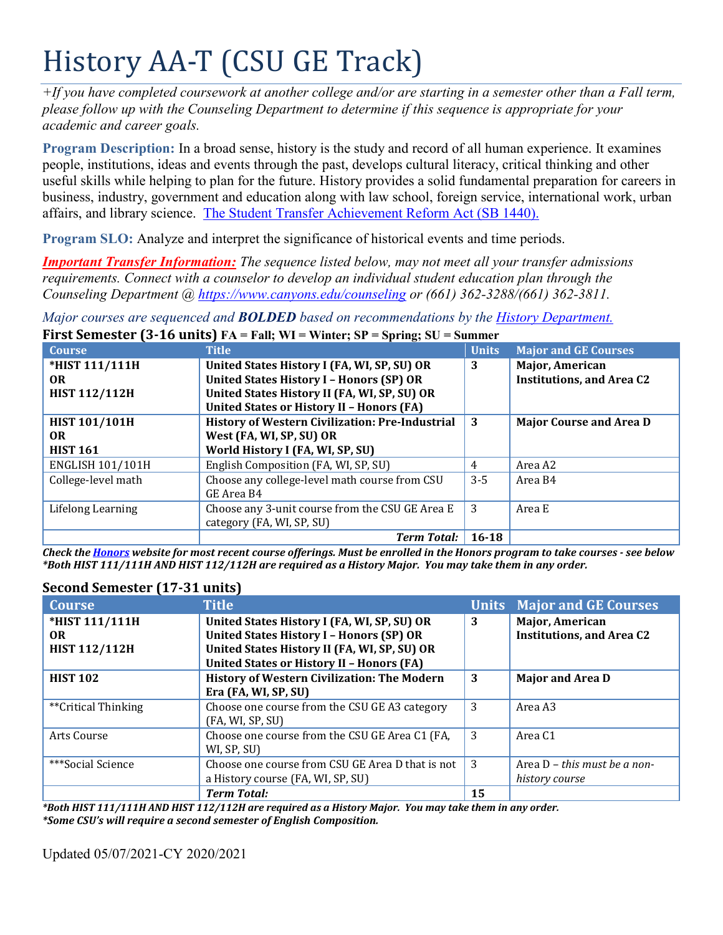# History AA-T (CSU GE Track)

*+If you have completed coursework at another college and/or are starting in a semester other than a Fall term, please follow up with the Counseling Department to determine if this sequence is appropriate for your academic and career goals.* 

 **Program Description:** In a broad sense, history is the study and record of all human experience. It examines affairs, and library science. The Student Transfer Achievement Reform Act (SB 1440). people, institutions, ideas and events through the past, develops cultural literacy, critical thinking and other useful skills while helping to plan for the future. History provides a solid fundamental preparation for careers in business, industry, government and education along with law school, foreign service, international work, urban

**Program SLO:** Analyze and interpret the significance of historical events and time periods.

*Important Transfer Information: The sequence listed below, may not meet all your transfer admissions requirements. Connect with a counselor to develop an individual student education plan through the Counseling Department @ <https://www.canyons.edu/counseling> or (661) 362-3288/(661) 362-3811.* 

*Major courses are sequenced and BOLDED based on recommendations by the History Department.*  **First Semester (3-16 units) FA = Fall; WI = Winter; SP = Spring; SU = Summer** 

| <b>Course</b>           | <b>Title</b>                                           | <b>Units</b> | <b>Major and GE Courses</b>      |
|-------------------------|--------------------------------------------------------|--------------|----------------------------------|
| *HIST 111/111H          | United States History I (FA, WI, SP, SU) OR            | 3            | Major, American                  |
| <b>OR</b>               | <b>United States History I - Honors (SP) OR</b>        |              | <b>Institutions, and Area C2</b> |
| <b>HIST 112/112H</b>    | United States History II (FA, WI, SP, SU) OR           |              |                                  |
|                         | <b>United States or History II - Honors (FA)</b>       |              |                                  |
| <b>HIST 101/101H</b>    | <b>History of Western Civilization: Pre-Industrial</b> | -3           | <b>Major Course and Area D</b>   |
| <b>OR</b>               | West (FA, WI, SP, SU) OR                               |              |                                  |
| <b>HIST 161</b>         | World History I (FA, WI, SP, SU)                       |              |                                  |
| <b>ENGLISH 101/101H</b> | English Composition (FA, WI, SP, SU)                   | 4            | Area A2                          |
| College-level math      | Choose any college-level math course from CSU          | $3 - 5$      | Area B4                          |
|                         | GE Area B4                                             |              |                                  |
| Lifelong Learning       | Choose any 3-unit course from the CSU GE Area E        | 3            | Area E                           |
|                         | category (FA, WI, SP, SU)                              |              |                                  |
|                         | <b>Term Total:</b>                                     | $16 - 18$    |                                  |

 *Check the Honors website for most recent course offerings. Must be enrolled in the Honors program to take courses - see below \*Both HIST 111/111H AND HIST 112/112H are required as a History Major. You may take them in any order.* 

# **Second Semester (17-31 units)**

| <b>Course</b>        | <b>Title</b>                                                      |    | <b>Units Major and GE Courses</b> |
|----------------------|-------------------------------------------------------------------|----|-----------------------------------|
| *HIST 111/111H       | United States History I (FA, WI, SP, SU) OR                       | 3  | Major, American                   |
| <b>OR</b>            | <b>United States History I - Honors (SP) OR</b>                   |    | <b>Institutions, and Area C2</b>  |
| <b>HIST 112/112H</b> | United States History II (FA, WI, SP, SU) OR                      |    |                                   |
|                      | <b>United States or History II - Honors (FA)</b>                  |    |                                   |
| <b>HIST 102</b>      | <b>History of Western Civilization: The Modern</b>                | 3  | <b>Major and Area D</b>           |
|                      | Era (FA, WI, SP, SU)                                              |    |                                   |
| **Critical Thinking  | Choose one course from the CSU GE A3 category<br>(FA, WI, SP, SU) | 3  | Area A3                           |
| Arts Course          | Choose one course from the CSU GE Area C1 (FA,<br>WI, SP, SU)     | 3  | Area C <sub>1</sub>               |
| ***Social Science    | Choose one course from CSU GE Area D that is not                  | 3  | Area $D$ – this must be a non-    |
|                      | a History course (FA, WI, SP, SU)                                 |    | history course                    |
|                      | <b>Term Total:</b>                                                | 15 |                                   |

*\*Both HIST 111/111H AND HIST 112/112H are required as a History Major. You may take them in any order. \*Some CSU's will require a second semester of English Composition.* 

Updated 05/07/2021-CY 2020/2021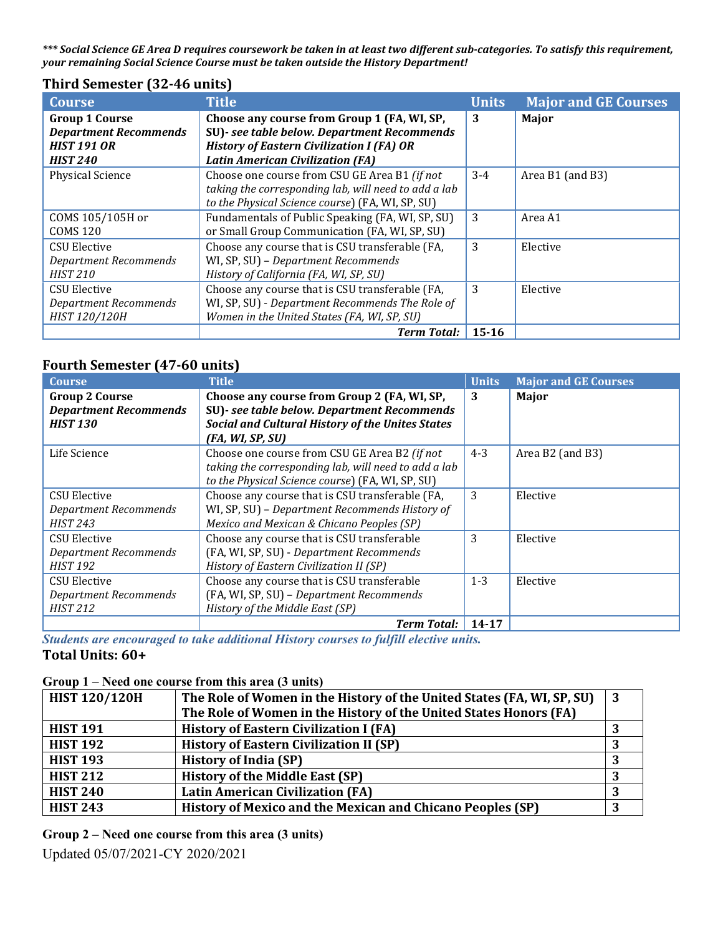*\*\*\* Social Science GE Area D requires coursework be taken in at least two different sub-categories. To satisfy this requirement, your remaining Social Science Course must be taken outside the History Department!* 

| Third Semester (32-46 units) |  |  |
|------------------------------|--|--|
|------------------------------|--|--|

| <b>Course</b>                | <b>Title</b>                                         | <b>Units</b> | <b>Major and GE Courses</b> |
|------------------------------|------------------------------------------------------|--------------|-----------------------------|
| <b>Group 1 Course</b>        | Choose any course from Group 1 (FA, WI, SP,          | 3            | Major                       |
| <b>Department Recommends</b> | SU)- see table below. Department Recommends          |              |                             |
| <b>HIST 191 OR</b>           | <b>History of Eastern Civilization I (FA) OR</b>     |              |                             |
| <b>HIST 240</b>              | <b>Latin American Civilization (FA)</b>              |              |                             |
| <b>Physical Science</b>      | Choose one course from CSU GE Area B1 (if not        | $3-4$        | Area B1 (and B3)            |
|                              | taking the corresponding lab, will need to add a lab |              |                             |
|                              | to the Physical Science course) (FA, WI, SP, SU)     |              |                             |
| COMS 105/105H or             | Fundamentals of Public Speaking (FA, WI, SP, SU)     | 3            | Area A1                     |
| <b>COMS 120</b>              | or Small Group Communication (FA, WI, SP, SU)        |              |                             |
| CSU Elective                 | Choose any course that is CSU transferable (FA,      | 3            | Elective                    |
| Department Recommends        | WI, SP, SU) - Department Recommends                  |              |                             |
| <b>HIST 210</b>              | History of California (FA, WI, SP, SU)               |              |                             |
| <b>CSU Elective</b>          | Choose any course that is CSU transferable (FA,      | 3            | Elective                    |
| <b>Department Recommends</b> | WI, SP, SU) - Department Recommends The Role of      |              |                             |
| HIST 120/120H                | Women in the United States (FA, WI, SP, SU)          |              |                             |
|                              | <b>Term Total:</b>                                   | $15 - 16$    |                             |

#### **Fourth Semester (47-60 units)**

| <b>Course</b>                | <b>Title</b>                                            | <b>Units</b> | <b>Major and GE Courses</b> |
|------------------------------|---------------------------------------------------------|--------------|-----------------------------|
| <b>Group 2 Course</b>        | Choose any course from Group 2 (FA, WI, SP,             | 3            | Major                       |
| <b>Department Recommends</b> | SU)- see table below. Department Recommends             |              |                             |
| <b>HIST 130</b>              | <b>Social and Cultural History of the Unites States</b> |              |                             |
|                              | (FA, WI, SP, SU)                                        |              |                             |
| Life Science                 | Choose one course from CSU GE Area B2 (if not           | $4 - 3$      | Area B2 (and B3)            |
|                              | taking the corresponding lab, will need to add a lab    |              |                             |
|                              | to the Physical Science course) (FA, WI, SP, SU)        |              |                             |
| <b>CSU Elective</b>          | Choose any course that is CSU transferable (FA,         | 3            | Elective                    |
| <b>Department Recommends</b> | WI, SP, SU) - Department Recommends History of          |              |                             |
| <b>HIST 243</b>              | Mexico and Mexican & Chicano Peoples (SP)               |              |                             |
| <b>CSU Elective</b>          | Choose any course that is CSU transferable              | 3            | Elective                    |
| <b>Department Recommends</b> | (FA, WI, SP, SU) - Department Recommends                |              |                             |
| <b>HIST 192</b>              | History of Eastern Civilization II (SP)                 |              |                             |
| CSU Elective                 | Choose any course that is CSU transferable              | $1 - 3$      | Elective                    |
| Department Recommends        | (FA, WI, SP, SU) - Department Recommends                |              |                             |
| <b>HIST 212</b>              | History of the Middle East (SP)                         |              |                             |
|                              | <b>Term Total:</b>                                      | 14-17        |                             |

 *Students are encouraged to take additional History courses to fulfill elective units.*  **Total Units: 60+** 

#### **Group 1 – Need one course from this area (3 units)**

| <b>HIST 120/120H</b> | The Role of Women in the History of the United States (FA, WI, SP, SU) |  |
|----------------------|------------------------------------------------------------------------|--|
|                      | The Role of Women in the History of the United States Honors (FA)      |  |
| <b>HIST 191</b>      | <b>History of Eastern Civilization I (FA)</b>                          |  |
| <b>HIST 192</b>      | <b>History of Eastern Civilization II (SP)</b>                         |  |
| <b>HIST 193</b>      | <b>History of India (SP)</b>                                           |  |
| <b>HIST 212</b>      | <b>History of the Middle East (SP)</b>                                 |  |
| <b>HIST 240</b>      | <b>Latin American Civilization (FA)</b>                                |  |
| <b>HIST 243</b>      | History of Mexico and the Mexican and Chicano Peoples (SP)             |  |

**Group 2 – Need one course from this area (3 units)** 

Updated 05/07/2021-CY 2020/2021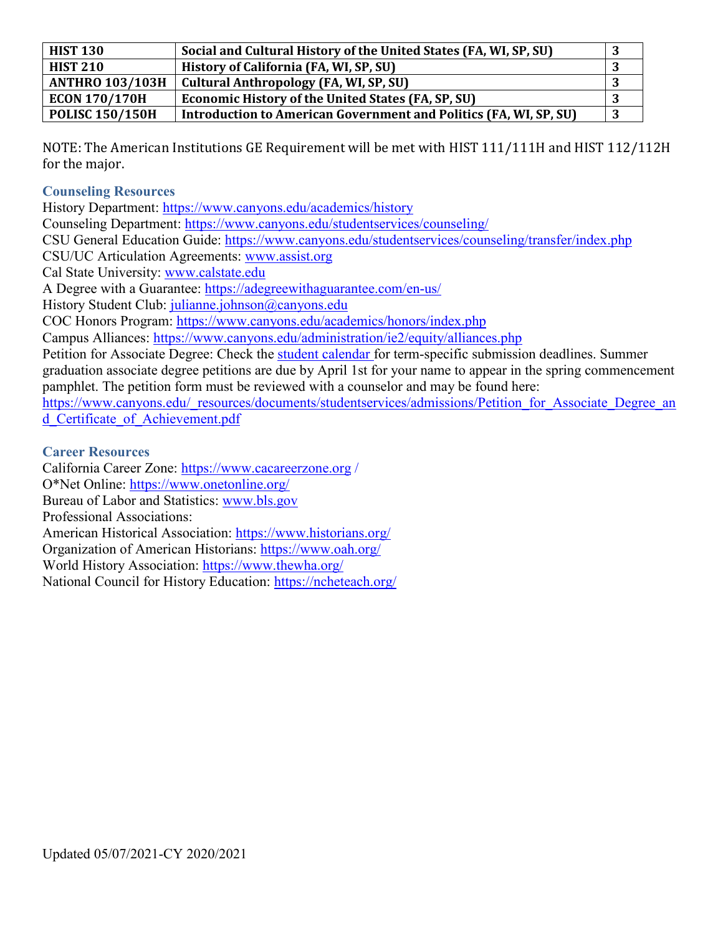| <b>HIST 130</b>        | Social and Cultural History of the United States (FA, WI, SP, SU)        |  |
|------------------------|--------------------------------------------------------------------------|--|
| <b>HIST 210</b>        | History of California (FA, WI, SP, SU)                                   |  |
| <b>ANTHRO 103/103H</b> | Cultural Anthropology (FA, WI, SP, SU)                                   |  |
| <b>ECON 170/170H</b>   | <b>Economic History of the United States (FA, SP, SU)</b>                |  |
| <b>POLISC 150/150H</b> | <b>Introduction to American Government and Politics (FA, WI, SP, SU)</b> |  |

NOTE: The American Institutions GE Requirement will be met with HIST 111/111H and HIST 112/112H for the major.

## **Counseling Resources**

Counseling Department: https://www.canyons.edu/studentservices/counseling/ CSU/UC Articulation Agreements: www.assist.org Cal State University: www.calstate.edu A Degree with a Guarantee: https://adegreewithaguarantee.com/en-us/ History Student Club: julianne.johnson@canyons.edu Campus Alliances: https://www.canyons.edu/administration/ie2/equity/alliances.php d Certificate of Achievement.pdf History Department: <https://www.canyons.edu/academics/history> Counseling Department: [https://www.canyons.edu/studentservices/counseling/](https://www.canyons.edu/studentservices/counseling)<br>CSU General Education Guide: <https://www.canyons.edu/studentservices/counseling/transfer/index.php><br>CSU/UC Articulation Agreements: www.assist.org<br>C Petition for Associate Degree: Check the student calendar for term-specific submission deadlines. Summer graduation associate degree petitions are due by April 1st for your name to appear in the spring commencement pamphlet. The petition form must be reviewed with a counselor and may be found here: [https://www.canyons.edu/\\_resources/documents/studentservices/admissions/Petition\\_for\\_Associate\\_Degree\\_an](https://www.canyons.edu/_resources/documents/studentservices/admissions/Petition_for_Associate_Degree_an)

## **Career Resources**

California Career Zone: <https://www.cacareerzone.org>/ O\*Net Online: https://www.onetonline.org/ i<br>L American Historical Association: https://www.historians.org/ Organization of American Historians: https://www.oah.org/ World History Association: https://www.thewha.org/ National Council for History Education: https://ncheteach.org/ O\*Net Online: <u>[https://www.onetonline.org/](https://www.onetonline.org)</u><br>Bureau of Labor and Statistics: <u>www.bls.gov</u><br>Professional Associations: American Historical Association: [https://www.historians.org/](https://www.historians.org)<br>Organization of American Historians: <u><https://www.oah.org>/</u><br>World History Association: <u>[https://www.thewha.org/](https://www.thewha.org)</u><br>National Council for History Education: <u>https:/</u>